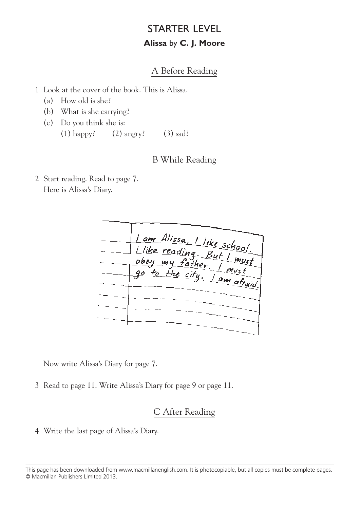## STARTER LEVEL

#### **Alissa** by **C. J. Moore**

### A Before Reading

- 1 Look at the cover of the book. This is Alissa.
	- (a) How old is she?
	- (b) What is she carrying?
	- (c) Do you think she is: (1) happy? (2) angry? (3) sad?

### B While Reading

2 Start reading. Read to page 7. Here is Alissa's Diary.

| 1 am Alissa. 1 like school.  |
|------------------------------|
| Tike reading. But I must     |
| go to the city. I am afraid. |
|                              |
|                              |
|                              |
|                              |
|                              |
|                              |

Now write Alissa's Diary for page 7.

3 Read to page 11. Write Alissa's Diary for page 9 or page 11.

# C After Reading

4 Write the last page of Alissa's Diary.

This page has been downloaded from www.macmillanenglish.com. It is photocopiable, but all copies must be complete pages.<br>@ Masmillan Bublishers Limited 2012 © Macmillan Publishers Limited 2013.